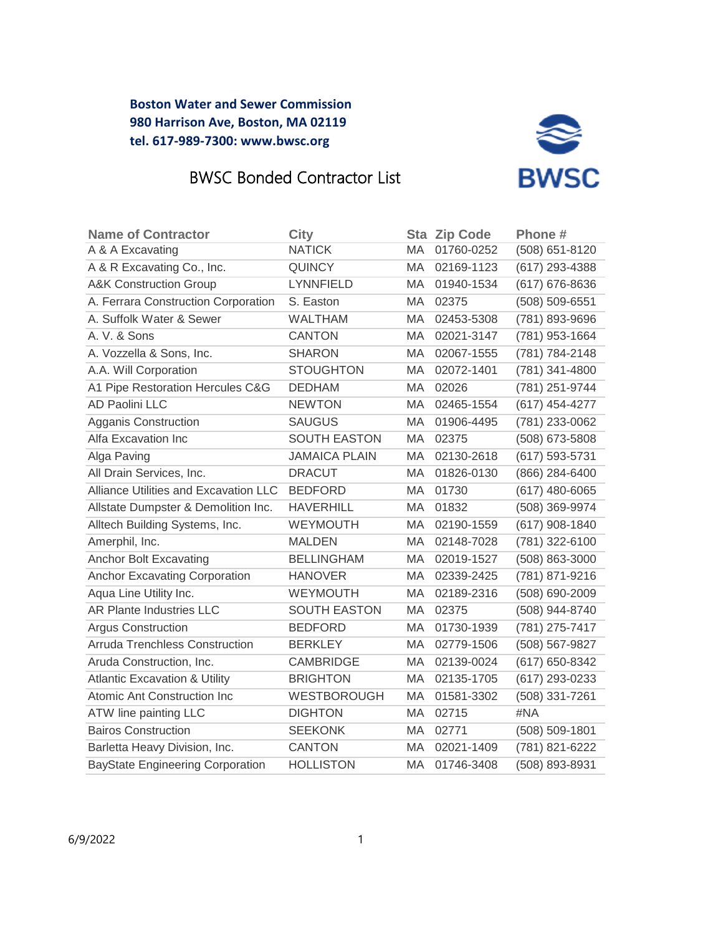

# BWSC Bonded Contractor List

| <b>Name of Contractor</b>                | <b>City</b>          |           | <b>Sta Zip Code</b> | Phone#             |
|------------------------------------------|----------------------|-----------|---------------------|--------------------|
| A & A Excavating                         | <b>NATICK</b>        | MA.       | 01760-0252          | (508) 651-8120     |
| A & R Excavating Co., Inc.               | <b>QUINCY</b>        | МA        | 02169-1123          | (617) 293-4388     |
| <b>A&amp;K Construction Group</b>        | <b>LYNNFIELD</b>     | MA.       | 01940-1534          | (617) 676-8636     |
| A. Ferrara Construction Corporation      | S. Easton            | МA        | 02375               | (508) 509-6551     |
| A. Suffolk Water & Sewer                 | <b>WALTHAM</b>       | MA        | 02453-5308          | (781) 893-9696     |
| A. V. & Sons                             | <b>CANTON</b>        | MA.       | 02021-3147          | (781) 953-1664     |
| A. Vozzella & Sons, Inc.                 | <b>SHARON</b>        | MA.       | 02067-1555          | (781) 784-2148     |
| A.A. Will Corporation                    | <b>STOUGHTON</b>     | MA        | 02072-1401          | (781) 341-4800     |
| A1 Pipe Restoration Hercules C&G         | <b>DEDHAM</b>        | МA        | 02026               | (781) 251-9744     |
| <b>AD Paolini LLC</b>                    | <b>NEWTON</b>        | <b>MA</b> | 02465-1554          | (617) 454-4277     |
| Agganis Construction                     | <b>SAUGUS</b>        | MA.       | 01906-4495          | (781) 233-0062     |
| Alfa Excavation Inc                      | <b>SOUTH EASTON</b>  | МA        | 02375               | (508) 673-5808     |
| Alga Paving                              | <b>JAMAICA PLAIN</b> | MA        | 02130-2618          | (617) 593-5731     |
| All Drain Services, Inc.                 | <b>DRACUT</b>        | MA.       | 01826-0130          | (866) 284-6400     |
| Alliance Utilities and Excavation LLC    | <b>BEDFORD</b>       | МA        | 01730               | $(617)$ 480-6065   |
| Allstate Dumpster & Demolition Inc.      | <b>HAVERHILL</b>     | МA        | 01832               | (508) 369-9974     |
| Alltech Building Systems, Inc.           | <b>WEYMOUTH</b>      | MA.       | 02190-1559          | (617) 908-1840     |
| Amerphil, Inc.                           | <b>MALDEN</b>        | MA.       | 02148-7028          | (781) 322-6100     |
| <b>Anchor Bolt Excavating</b>            | <b>BELLINGHAM</b>    | МA        | 02019-1527          | (508) 863-3000     |
| <b>Anchor Excavating Corporation</b>     | <b>HANOVER</b>       | МA        | 02339-2425          | (781) 871-9216     |
| Aqua Line Utility Inc.                   | <b>WEYMOUTH</b>      | <b>MA</b> | 02189-2316          | (508) 690-2009     |
| AR Plante Industries LLC                 | <b>SOUTH EASTON</b>  | МA        | 02375               | (508) 944-8740     |
| <b>Argus Construction</b>                | <b>BEDFORD</b>       | MA.       | 01730-1939          | (781) 275-7417     |
| <b>Arruda Trenchless Construction</b>    | <b>BERKLEY</b>       | MA.       | 02779-1506          | (508) 567-9827     |
| Aruda Construction, Inc.                 | <b>CAMBRIDGE</b>     | <b>MA</b> | 02139-0024          | (617) 650-8342     |
| <b>Atlantic Excavation &amp; Utility</b> | <b>BRIGHTON</b>      | МA        | 02135-1705          | (617) 293-0233     |
| Atomic Ant Construction Inc              | <b>WESTBOROUGH</b>   | МA        | 01581-3302          | (508) 331-7261     |
| ATW line painting LLC                    | <b>DIGHTON</b>       | <b>MA</b> | 02715               | #NA                |
| <b>Bairos Construction</b>               | <b>SEEKONK</b>       | МA        | 02771               | $(508) 509 - 1801$ |
| Barletta Heavy Division, Inc.            | <b>CANTON</b>        | MA.       | 02021-1409          | (781) 821-6222     |
| <b>BayState Engineering Corporation</b>  | <b>HOLLISTON</b>     | MA.       | 01746-3408          | (508) 893-8931     |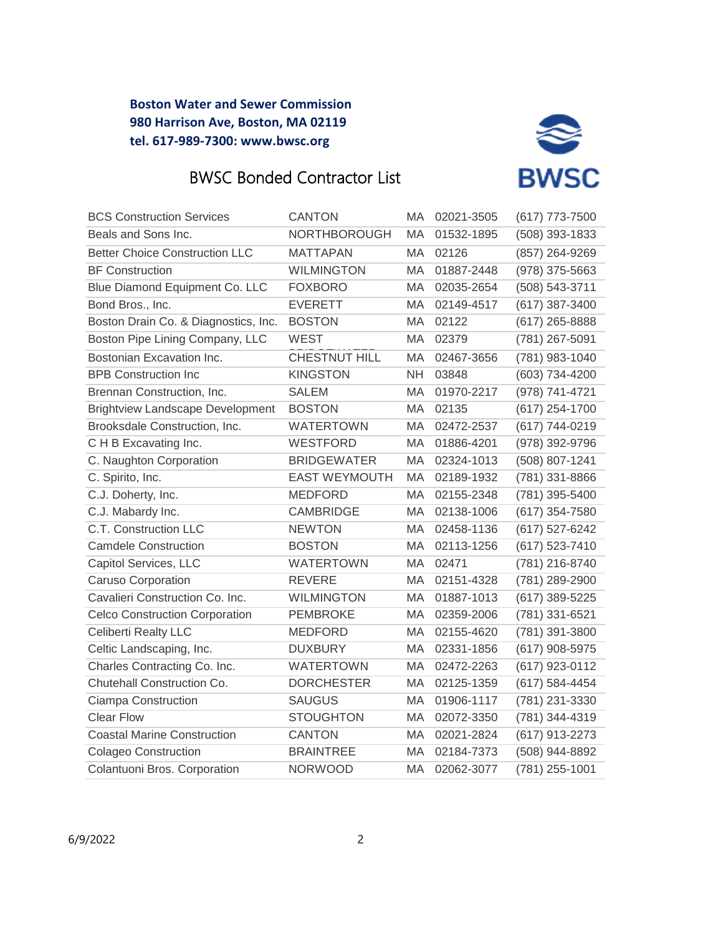

# BWSC Bonded Contractor List

| <b>BCS Construction Services</b>        | <b>CANTON</b>        | МA        | 02021-3505 | (617) 773-7500   |
|-----------------------------------------|----------------------|-----------|------------|------------------|
| Beals and Sons Inc.                     | NORTHBOROUGH         | MA        | 01532-1895 | (508) 393-1833   |
| <b>Better Choice Construction LLC</b>   | <b>MATTAPAN</b>      | MA        | 02126      | (857) 264-9269   |
| <b>BF Construction</b>                  | <b>WILMINGTON</b>    | МA        | 01887-2448 | (978) 375-5663   |
| Blue Diamond Equipment Co. LLC          | <b>FOXBORO</b>       | MA.       | 02035-2654 | (508) 543-3711   |
| Bond Bros., Inc.                        | <b>EVERETT</b>       | МA        | 02149-4517 | (617) 387-3400   |
| Boston Drain Co. & Diagnostics, Inc.    | <b>BOSTON</b>        | МA        | 02122      | (617) 265-8888   |
| Boston Pipe Lining Company, LLC         | <b>WEST</b>          | МA        | 02379      | (781) 267-5091   |
| Bostonian Excavation Inc.               | CHESTNUT HILL        | МA        | 02467-3656 | (781) 983-1040   |
| <b>BPB Construction Inc</b>             | <b>KINGSTON</b>      | NΗ        | 03848      | (603) 734-4200   |
| Brennan Construction, Inc.              | <b>SALEM</b>         | МA        | 01970-2217 | (978) 741-4721   |
| <b>Brightview Landscape Development</b> | <b>BOSTON</b>        | МA        | 02135      | $(617)$ 254-1700 |
| Brooksdale Construction, Inc.           | <b>WATERTOWN</b>     | МA        | 02472-2537 | (617) 744-0219   |
| C H B Excavating Inc.                   | <b>WESTFORD</b>      | MA        | 01886-4201 | (978) 392-9796   |
| C. Naughton Corporation                 | <b>BRIDGEWATER</b>   | <b>MA</b> | 02324-1013 | (508) 807-1241   |
| C. Spirito, Inc.                        | <b>EAST WEYMOUTH</b> | МA        | 02189-1932 | (781) 331-8866   |
| C.J. Doherty, Inc.                      | <b>MEDFORD</b>       | MA.       | 02155-2348 | (781) 395-5400   |
| C.J. Mabardy Inc.                       | <b>CAMBRIDGE</b>     | МA        | 02138-1006 | (617) 354-7580   |
| C.T. Construction LLC                   | <b>NEWTON</b>        | MA.       | 02458-1136 | (617) 527-6242   |
| <b>Camdele Construction</b>             | <b>BOSTON</b>        | МA        | 02113-1256 | (617) 523-7410   |
| Capitol Services, LLC                   | <b>WATERTOWN</b>     | МA        | 02471      | (781) 216-8740   |
| <b>Caruso Corporation</b>               | <b>REVERE</b>        | МA        | 02151-4328 | (781) 289-2900   |
| Cavalieri Construction Co. Inc.         | <b>WILMINGTON</b>    | MA        | 01887-1013 | (617) 389-5225   |
| <b>Celco Construction Corporation</b>   | <b>PEMBROKE</b>      | МA        | 02359-2006 | (781) 331-6521   |
| <b>Celiberti Realty LLC</b>             | <b>MEDFORD</b>       | МA        | 02155-4620 | (781) 391-3800   |
| Celtic Landscaping, Inc.                | <b>DUXBURY</b>       | МA        | 02331-1856 | (617) 908-5975   |
| Charles Contracting Co. Inc.            | <b>WATERTOWN</b>     | МA        | 02472-2263 | (617) 923-0112   |
| Chutehall Construction Co.              | <b>DORCHESTER</b>    | МA        | 02125-1359 | (617) 584-4454   |
| Ciampa Construction                     | <b>SAUGUS</b>        | МA        | 01906-1117 | (781) 231-3330   |
| <b>Clear Flow</b>                       | <b>STOUGHTON</b>     | MA        | 02072-3350 | (781) 344-4319   |
| <b>Coastal Marine Construction</b>      | <b>CANTON</b>        | MA.       | 02021-2824 | (617) 913-2273   |
| <b>Colageo Construction</b>             | <b>BRAINTREE</b>     | MA        | 02184-7373 | (508) 944-8892   |
| Colantuoni Bros. Corporation            | <b>NORWOOD</b>       | MA        | 02062-3077 | (781) 255-1001   |
|                                         |                      |           |            |                  |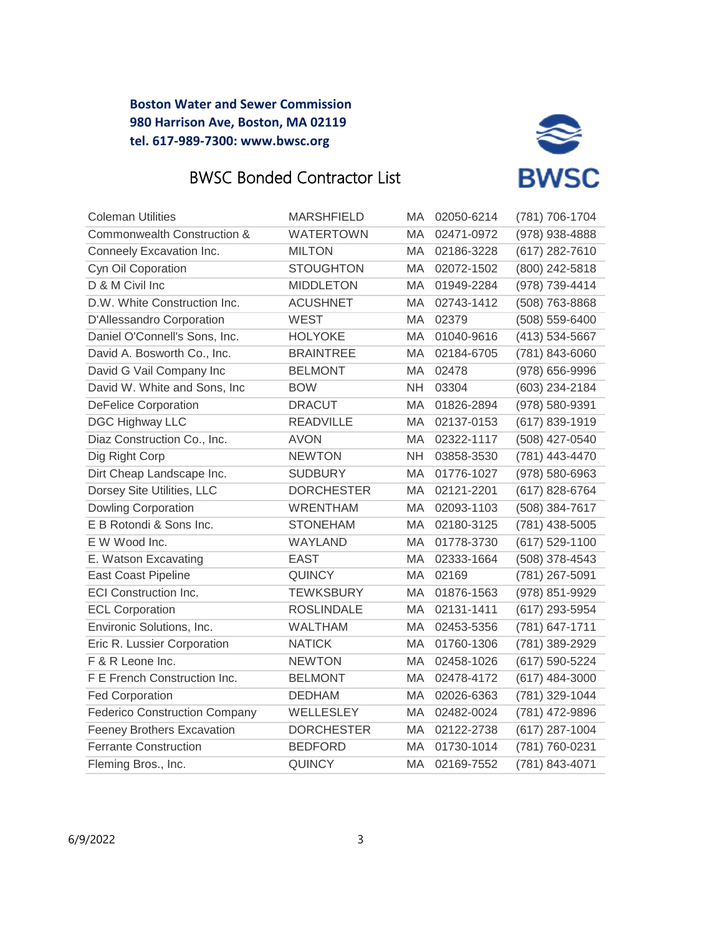



| <b>Coleman Utilities</b>             | MARSHFIELD        | MA        | 02050-6214 | (781) 706-1704   |
|--------------------------------------|-------------------|-----------|------------|------------------|
| Commonwealth Construction &          | <b>WATERTOWN</b>  | MA        | 02471-0972 | (978) 938-4888   |
| Conneely Excavation Inc.             | <b>MILTON</b>     | МA        | 02186-3228 | (617) 282-7610   |
| Cyn Oil Coporation                   | <b>STOUGHTON</b>  | МA        | 02072-1502 | (800) 242-5818   |
| D & M Civil Inc                      | <b>MIDDLETON</b>  | MA        | 01949-2284 | (978) 739-4414   |
| D.W. White Construction Inc.         | <b>ACUSHNET</b>   | MA        | 02743-1412 | (508) 763-8868   |
| D'Allessandro Corporation            | <b>WEST</b>       | MA        | 02379      | (508) 559-6400   |
| Daniel O'Connell's Sons, Inc.        | <b>HOLYOKE</b>    | МA        | 01040-9616 | (413) 534-5667   |
| David A. Bosworth Co., Inc.          | <b>BRAINTREE</b>  | MA        | 02184-6705 | (781) 843-6060   |
| David G Vail Company Inc             | <b>BELMONT</b>    | MA        | 02478      | (978) 656-9996   |
| David W. White and Sons, Inc.        | <b>BOW</b>        | <b>NH</b> | 03304      | (603) 234-2184   |
| <b>DeFelice Corporation</b>          | <b>DRACUT</b>     | МA        | 01826-2894 | (978) 580-9391   |
| <b>DGC Highway LLC</b>               | <b>READVILLE</b>  | MA        | 02137-0153 | (617) 839-1919   |
| Diaz Construction Co., Inc.          | <b>AVON</b>       | MA        | 02322-1117 | (508) 427-0540   |
| Dig Right Corp                       | <b>NEWTON</b>     | <b>NH</b> | 03858-3530 | (781) 443-4470   |
| Dirt Cheap Landscape Inc.            | <b>SUDBURY</b>    | MA        | 01776-1027 | (978) 580-6963   |
| Dorsey Site Utilities, LLC           | <b>DORCHESTER</b> | MA        | 02121-2201 | (617) 828-6764   |
| <b>Dowling Corporation</b>           | <b>WRENTHAM</b>   | MA        | 02093-1103 | (508) 384-7617   |
| E B Rotondi & Sons Inc.              | <b>STONEHAM</b>   | MA        | 02180-3125 | (781) 438-5005   |
| E W Wood Inc.                        | <b>WAYLAND</b>    | MA        | 01778-3730 | (617) 529-1100   |
| E. Watson Excavating                 | <b>EAST</b>       | MA        | 02333-1664 | (508) 378-4543   |
| <b>East Coast Pipeline</b>           | <b>QUINCY</b>     | MA        | 02169      | (781) 267-5091   |
| <b>ECI Construction Inc.</b>         | <b>TEWKSBURY</b>  | MA        | 01876-1563 | (978) 851-9929   |
| <b>ECL Corporation</b>               | <b>ROSLINDALE</b> | МA        | 02131-1411 | (617) 293-5954   |
| Environic Solutions, Inc.            | <b>WALTHAM</b>    | МA        | 02453-5356 | (781) 647-1711   |
| Eric R. Lussier Corporation          | <b>NATICK</b>     | МA        | 01760-1306 | (781) 389-2929   |
| F & R Leone Inc.                     | <b>NEWTON</b>     | MA        | 02458-1026 | (617) 590-5224   |
| F E French Construction Inc.         | <b>BELMONT</b>    | MA        | 02478-4172 | $(617)$ 484-3000 |
| <b>Fed Corporation</b>               | <b>DEDHAM</b>     | MA        | 02026-6363 | (781) 329-1044   |
| <b>Federico Construction Company</b> | WELLESLEY         | MA        | 02482-0024 | (781) 472-9896   |
| <b>Feeney Brothers Excavation</b>    | <b>DORCHESTER</b> | MA        | 02122-2738 | (617) 287-1004   |
| <b>Ferrante Construction</b>         | <b>BEDFORD</b>    | MA        | 01730-1014 | (781) 760-0231   |
| Fleming Bros., Inc.                  | <b>QUINCY</b>     | MA        | 02169-7552 | (781) 843-4071   |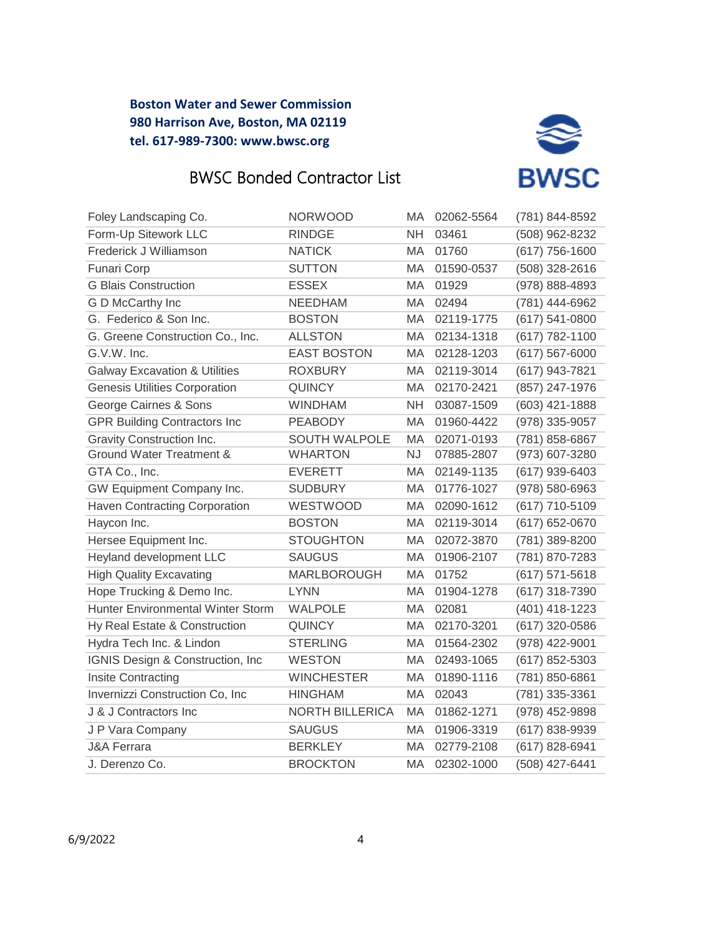



| Foley Landscaping Co.                    | <b>NORWOOD</b>         | MA        | 02062-5564 | (781) 844-8592     |
|------------------------------------------|------------------------|-----------|------------|--------------------|
| Form-Up Sitework LLC                     | <b>RINDGE</b>          | <b>NH</b> | 03461      | (508) 962-8232     |
| Frederick J Williamson                   | <b>NATICK</b>          | MA        | 01760      | $(617)$ 756-1600   |
| <b>Funari Corp</b>                       | <b>SUTTON</b>          | МA        | 01590-0537 | (508) 328-2616     |
| <b>G Blais Construction</b>              | <b>ESSEX</b>           | MA        | 01929      | (978) 888-4893     |
| G D McCarthy Inc                         | <b>NEEDHAM</b>         | MA        | 02494      | (781) 444-6962     |
| G. Federico & Son Inc.                   | <b>BOSTON</b>          | MA        | 02119-1775 | $(617) 541 - 0800$ |
| G. Greene Construction Co., Inc.         | <b>ALLSTON</b>         | МA        | 02134-1318 | (617) 782-1100     |
| G.V.W. Inc.                              | <b>EAST BOSTON</b>     | MA        | 02128-1203 | $(617) 567 - 6000$ |
| <b>Galway Excavation &amp; Utilities</b> | <b>ROXBURY</b>         | МA        | 02119-3014 | (617) 943-7821     |
| Genesis Utilities Corporation            | <b>QUINCY</b>          | МA        | 02170-2421 | (857) 247-1976     |
| George Cairnes & Sons                    | WINDHAM                | <b>NH</b> | 03087-1509 | $(603)$ 421-1888   |
| <b>GPR Building Contractors Inc</b>      | <b>PEABODY</b>         | MA        | 01960-4422 | (978) 335-9057     |
| Gravity Construction Inc.                | <b>SOUTH WALPOLE</b>   | MA        | 02071-0193 | (781) 858-6867     |
| <b>Ground Water Treatment &amp;</b>      | <b>WHARTON</b>         | <b>NJ</b> | 07885-2807 | (973) 607-3280     |
| GTA Co., Inc.                            | <b>EVERETT</b>         | MA        | 02149-1135 | $(617)$ 939-6403   |
| GW Equipment Company Inc.                | <b>SUDBURY</b>         | MA        | 01776-1027 | (978) 580-6963     |
| <b>Haven Contracting Corporation</b>     | WESTWOOD               | MA        | 02090-1612 | (617) 710-5109     |
| Haycon Inc.                              | <b>BOSTON</b>          | MA        | 02119-3014 | (617) 652-0670     |
| Hersee Equipment Inc.                    | <b>STOUGHTON</b>       | MA        | 02072-3870 | (781) 389-8200     |
| Heyland development LLC                  | <b>SAUGUS</b>          | MA        | 01906-2107 | (781) 870-7283     |
| <b>High Quality Excavating</b>           | <b>MARLBOROUGH</b>     | MA        | 01752      | $(617) 571 - 5618$ |
| Hope Trucking & Demo Inc.                | <b>LYNN</b>            | MA        | 01904-1278 | (617) 318-7390     |
| <b>Hunter Environmental Winter Storm</b> | <b>WALPOLE</b>         | MA        | 02081      | (401) 418-1223     |
| Hy Real Estate & Construction            | <b>QUINCY</b>          | MA        | 02170-3201 | (617) 320-0586     |
| Hydra Tech Inc. & Lindon                 | <b>STERLING</b>        | МA        | 01564-2302 | (978) 422-9001     |
| IGNIS Design & Construction, Inc.        | <b>WESTON</b>          | MA        | 02493-1065 | (617) 852-5303     |
| Insite Contracting                       | <b>WINCHESTER</b>      | MA        | 01890-1116 | (781) 850-6861     |
| Invernizzi Construction Co, Inc          | <b>HINGHAM</b>         | MA        | 02043      | (781) 335-3361     |
| J & J Contractors Inc                    | <b>NORTH BILLERICA</b> | MA        | 01862-1271 | (978) 452-9898     |
| J P Vara Company                         | <b>SAUGUS</b>          | MA        | 01906-3319 | (617) 838-9939     |
| <b>J&amp;A Ferrara</b>                   | <b>BERKLEY</b>         | MA        | 02779-2108 | (617) 828-6941     |
| J. Derenzo Co.                           | <b>BROCKTON</b>        | MA        | 02302-1000 | (508) 427-6441     |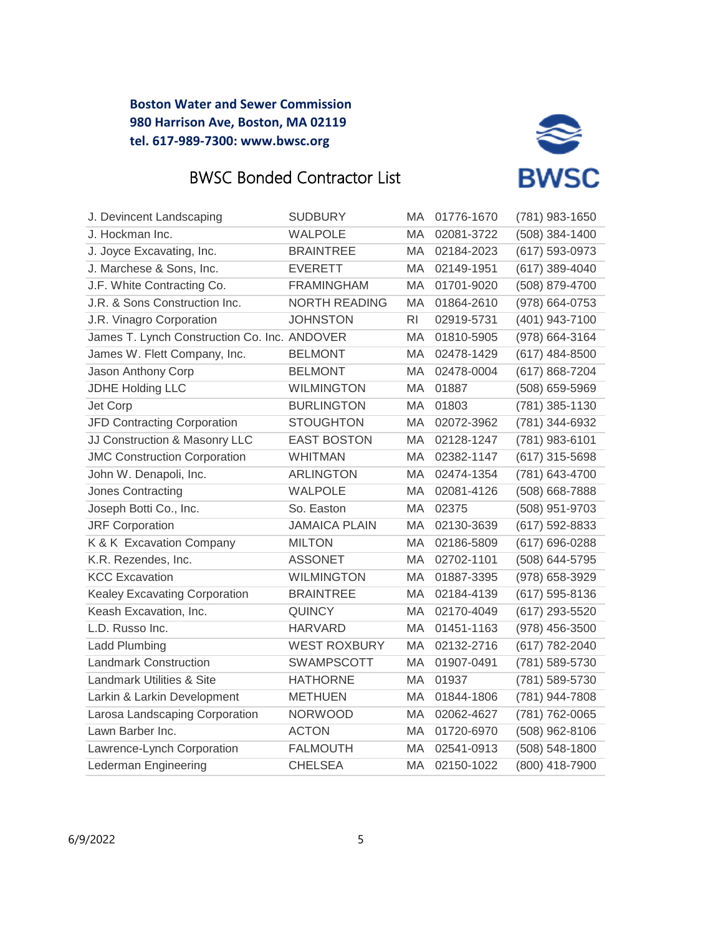



| J. Devincent Landscaping                     | <b>SUDBURY</b>       | MA             | 01776-1670 | (781) 983-1650   |
|----------------------------------------------|----------------------|----------------|------------|------------------|
| J. Hockman Inc.                              | <b>WALPOLE</b>       | MA             | 02081-3722 | (508) 384-1400   |
| J. Joyce Excavating, Inc.                    | <b>BRAINTREE</b>     | MA             | 02184-2023 | (617) 593-0973   |
| J. Marchese & Sons, Inc.                     | <b>EVERETT</b>       | MA             | 02149-1951 | (617) 389-4040   |
| J.F. White Contracting Co.                   | <b>FRAMINGHAM</b>    | MA             | 01701-9020 | (508) 879-4700   |
| J.R. & Sons Construction Inc.                | <b>NORTH READING</b> | MA             | 01864-2610 | (978) 664-0753   |
| J.R. Vinagro Corporation                     | <b>JOHNSTON</b>      | R <sub>l</sub> | 02919-5731 | (401) 943-7100   |
| James T. Lynch Construction Co. Inc. ANDOVER |                      | MA             | 01810-5905 | (978) 664-3164   |
| James W. Flett Company, Inc.                 | <b>BELMONT</b>       | MA             | 02478-1429 | $(617)$ 484-8500 |
| Jason Anthony Corp                           | <b>BELMONT</b>       | MA             | 02478-0004 | (617) 868-7204   |
| <b>JDHE Holding LLC</b>                      | <b>WILMINGTON</b>    | МA             | 01887      | (508) 659-5969   |
| Jet Corp                                     | <b>BURLINGTON</b>    | MA             | 01803      | (781) 385-1130   |
| JFD Contracting Corporation                  | <b>STOUGHTON</b>     | МA             | 02072-3962 | (781) 344-6932   |
| JJ Construction & Masonry LLC                | <b>EAST BOSTON</b>   | MA             | 02128-1247 | (781) 983-6101   |
| <b>JMC Construction Corporation</b>          | <b>WHITMAN</b>       | MA             | 02382-1147 | (617) 315-5698   |
| John W. Denapoli, Inc.                       | <b>ARLINGTON</b>     | MA             | 02474-1354 | (781) 643-4700   |
| Jones Contracting                            | <b>WALPOLE</b>       | MA             | 02081-4126 | (508) 668-7888   |
| Joseph Botti Co., Inc.                       | So. Easton           | МA             | 02375      | (508) 951-9703   |
| <b>JRF Corporation</b>                       | <b>JAMAICA PLAIN</b> | MA             | 02130-3639 | (617) 592-8833   |
| K & K Excavation Company                     | <b>MILTON</b>        | MA             | 02186-5809 | (617) 696-0288   |
| K.R. Rezendes, Inc.                          | <b>ASSONET</b>       | MA             | 02702-1101 | (508) 644-5795   |
| <b>KCC Excavation</b>                        | <b>WILMINGTON</b>    | МA             | 01887-3395 | (978) 658-3929   |
| <b>Kealey Excavating Corporation</b>         | <b>BRAINTREE</b>     | MA             | 02184-4139 | (617) 595-8136   |
| Keash Excavation, Inc.                       | <b>QUINCY</b>        | MA             | 02170-4049 | (617) 293-5520   |
| L.D. Russo Inc.                              | <b>HARVARD</b>       | MA             | 01451-1163 | (978) 456-3500   |
| <b>Ladd Plumbing</b>                         | <b>WEST ROXBURY</b>  | MA             | 02132-2716 | (617) 782-2040   |
| <b>Landmark Construction</b>                 | <b>SWAMPSCOTT</b>    | MA             | 01907-0491 | (781) 589-5730   |
| <b>Landmark Utilities &amp; Site</b>         | <b>HATHORNE</b>      | MA             | 01937      | (781) 589-5730   |
| Larkin & Larkin Development                  | <b>METHUEN</b>       | МA             | 01844-1806 | (781) 944-7808   |
| Larosa Landscaping Corporation               | <b>NORWOOD</b>       | MA             | 02062-4627 | (781) 762-0065   |
| Lawn Barber Inc.                             | <b>ACTON</b>         | MA             | 01720-6970 | (508) 962-8106   |
| Lawrence-Lynch Corporation                   | <b>FALMOUTH</b>      | MA             | 02541-0913 | (508) 548-1800   |
| Lederman Engineering                         | <b>CHELSEA</b>       | MA             | 02150-1022 | (800) 418-7900   |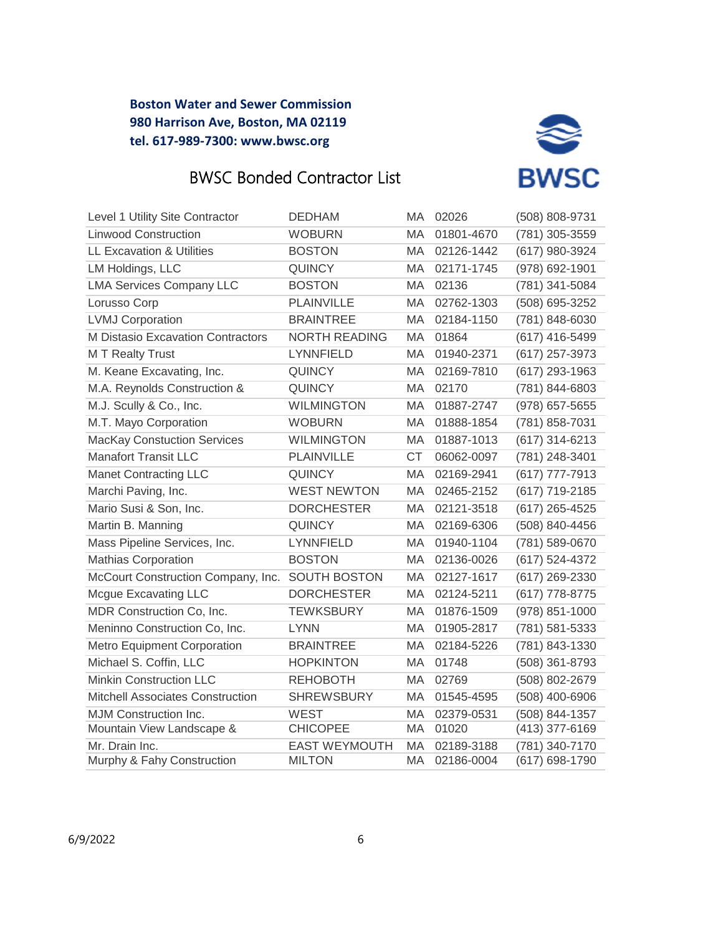



| Level 1 Utility Site Contractor                 | <b>DEDHAM</b>        | MA.       | 02026      | (508) 808-9731     |
|-------------------------------------------------|----------------------|-----------|------------|--------------------|
| <b>Linwood Construction</b>                     | <b>WOBURN</b>        | MA.       | 01801-4670 | (781) 305-3559     |
| <b>LL Excavation &amp; Utilities</b>            | <b>BOSTON</b>        | MA        | 02126-1442 | (617) 980-3924     |
| LM Holdings, LLC                                | <b>QUINCY</b>        | МA        | 02171-1745 | (978) 692-1901     |
| <b>LMA Services Company LLC</b>                 | <b>BOSTON</b>        | MA        | 02136      | (781) 341-5084     |
| Lorusso Corp                                    | <b>PLAINVILLE</b>    | MA        | 02762-1303 | (508) 695-3252     |
| <b>LVMJ Corporation</b>                         | <b>BRAINTREE</b>     | MA        | 02184-1150 | (781) 848-6030     |
| M Distasio Excavation Contractors               | <b>NORTH READING</b> | MA        | 01864      | (617) 416-5499     |
| <b>MT</b> Realty Trust                          | <b>LYNNFIELD</b>     | MA.       | 01940-2371 | (617) 257-3973     |
| M. Keane Excavating, Inc.                       | <b>QUINCY</b>        | <b>MA</b> | 02169-7810 | $(617)$ 293-1963   |
| M.A. Reynolds Construction &                    | <b>QUINCY</b>        | МA        | 02170      | (781) 844-6803     |
| M.J. Scully & Co., Inc.                         | <b>WILMINGTON</b>    | MA        | 01887-2747 | (978) 657-5655     |
| M.T. Mayo Corporation                           | <b>WOBURN</b>        | MA        | 01888-1854 | (781) 858-7031     |
| <b>MacKay Constuction Services</b>              | <b>WILMINGTON</b>    | <b>MA</b> | 01887-1013 | (617) 314-6213     |
| <b>Manafort Transit LLC</b>                     | <b>PLAINVILLE</b>    | <b>CT</b> | 06062-0097 | (781) 248-3401     |
| <b>Manet Contracting LLC</b>                    | <b>QUINCY</b>        | МA        | 02169-2941 | (617) 777-7913     |
| Marchi Paving, Inc.                             | <b>WEST NEWTON</b>   | МA        | 02465-2152 | (617) 719-2185     |
| Mario Susi & Son, Inc.                          | <b>DORCHESTER</b>    | <b>MA</b> | 02121-3518 | $(617)$ 265-4525   |
| Martin B. Manning                               | <b>QUINCY</b>        | MA        | 02169-6306 | (508) 840-4456     |
| Mass Pipeline Services, Inc.                    | <b>LYNNFIELD</b>     | МA        | 01940-1104 | (781) 589-0670     |
| <b>Mathias Corporation</b>                      | <b>BOSTON</b>        | MA        | 02136-0026 | (617) 524-4372     |
| McCourt Construction Company, Inc. SOUTH BOSTON |                      | MA        | 02127-1617 | $(617)$ 269-2330   |
| <b>Mcgue Excavating LLC</b>                     | <b>DORCHESTER</b>    | MA        | 02124-5211 | (617) 778-8775     |
| MDR Construction Co, Inc.                       | <b>TEWKSBURY</b>     | МA        | 01876-1509 | $(978) 851 - 1000$ |
| Meninno Construction Co, Inc.                   | LYNN                 | MA        | 01905-2817 | (781) 581-5333     |
| Metro Equipment Corporation                     | <b>BRAINTREE</b>     | MA        | 02184-5226 | (781) 843-1330     |
| Michael S. Coffin, LLC                          | <b>HOPKINTON</b>     | MA        | 01748      | (508) 361-8793     |
| <b>Minkin Construction LLC</b>                  | <b>REHOBOTH</b>      | МA        | 02769      | (508) 802-2679     |
| <b>Mitchell Associates Construction</b>         | <b>SHREWSBURY</b>    | МA        | 01545-4595 | (508) 400-6906     |
| MJM Construction Inc.                           | <b>WEST</b>          | МA        | 02379-0531 | (508) 844-1357     |
| Mountain View Landscape &                       | <b>CHICOPEE</b>      | MA        | 01020      | (413) 377-6169     |
| Mr. Drain Inc.                                  | <b>EAST WEYMOUTH</b> | MA        | 02189-3188 | (781) 340-7170     |
| Murphy & Fahy Construction                      | <b>MILTON</b>        | МA        | 02186-0004 | (617) 698-1790     |

Company, Inc.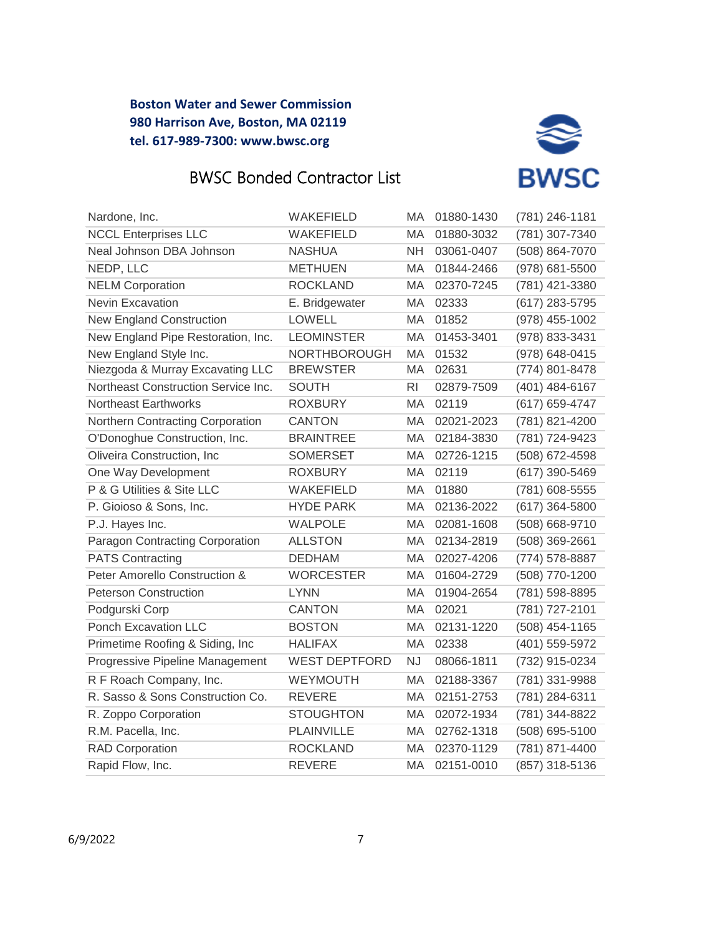



| Nardone, Inc.                       | <b>WAKEFIELD</b>     | MA        | 01880-1430 | (781) 246-1181   |
|-------------------------------------|----------------------|-----------|------------|------------------|
| <b>NCCL Enterprises LLC</b>         | WAKEFIELD            | MA        | 01880-3032 | (781) 307-7340   |
| Neal Johnson DBA Johnson            | <b>NASHUA</b>        | <b>NH</b> | 03061-0407 | (508) 864-7070   |
| NEDP, LLC                           | <b>METHUEN</b>       | MA        | 01844-2466 | (978) 681-5500   |
| <b>NELM Corporation</b>             | <b>ROCKLAND</b>      | MA        | 02370-7245 | (781) 421-3380   |
| <b>Nevin Excavation</b>             | E. Bridgewater       | MA        | 02333      | (617) 283-5795   |
| <b>New England Construction</b>     | <b>LOWELL</b>        | MA        | 01852      | (978) 455-1002   |
| New England Pipe Restoration, Inc.  | <b>LEOMINSTER</b>    | MA        | 01453-3401 | (978) 833-3431   |
| New England Style Inc.              | <b>NORTHBOROUGH</b>  | MA        | 01532      | (978) 648-0415   |
| Niezgoda & Murray Excavating LLC    | <b>BREWSTER</b>      | MA        | 02631      | (774) 801-8478   |
| Northeast Construction Service Inc. | <b>SOUTH</b>         | <b>RI</b> | 02879-7509 | (401) 484-6167   |
| <b>Northeast Earthworks</b>         | <b>ROXBURY</b>       | МA        | 02119      | (617) 659-4747   |
| Northern Contracting Corporation    | <b>CANTON</b>        | MA        | 02021-2023 | (781) 821-4200   |
| O'Donoghue Construction, Inc.       | <b>BRAINTREE</b>     | МA        | 02184-3830 | (781) 724-9423   |
| Oliveira Construction, Inc.         | <b>SOMERSET</b>      | MA        | 02726-1215 | (508) 672-4598   |
| One Way Development                 | <b>ROXBURY</b>       | MA        | 02119      | (617) 390-5469   |
| P & G Utilities & Site LLC          | <b>WAKEFIELD</b>     | MA        | 01880      | (781) 608-5555   |
| P. Gioioso & Sons, Inc.             | <b>HYDE PARK</b>     | MA        | 02136-2022 | $(617)$ 364-5800 |
| P.J. Hayes Inc.                     | <b>WALPOLE</b>       | MA        | 02081-1608 | (508) 668-9710   |
| Paragon Contracting Corporation     | <b>ALLSTON</b>       | MA        | 02134-2819 | $(508)$ 369-2661 |
| <b>PATS Contracting</b>             | <b>DEDHAM</b>        | MA        | 02027-4206 | (774) 578-8887   |
| Peter Amorello Construction &       | <b>WORCESTER</b>     | MA        | 01604-2729 | (508) 770-1200   |
| <b>Peterson Construction</b>        | <b>LYNN</b>          | MA        | 01904-2654 | (781) 598-8895   |
| Podgurski Corp                      | CANTON               | МA        | 02021      | (781) 727-2101   |
| <b>Ponch Excavation LLC</b>         | <b>BOSTON</b>        | MA        | 02131-1220 | (508) 454-1165   |
| Primetime Roofing & Siding, Inc.    | <b>HALIFAX</b>       | MA        | 02338      | (401) 559-5972   |
| Progressive Pipeline Management     | <b>WEST DEPTFORD</b> | <b>NJ</b> | 08066-1811 | (732) 915-0234   |
| R F Roach Company, Inc.             | <b>WEYMOUTH</b>      | MA        | 02188-3367 | (781) 331-9988   |
| R. Sasso & Sons Construction Co.    | <b>REVERE</b>        | MA        | 02151-2753 | (781) 284-6311   |
| R. Zoppo Corporation                | <b>STOUGHTON</b>     | МA        | 02072-1934 | (781) 344-8822   |
| R.M. Pacella, Inc.                  | <b>PLAINVILLE</b>    | MA        | 02762-1318 | (508) 695-5100   |
| <b>RAD Corporation</b>              | <b>ROCKLAND</b>      | <b>MA</b> | 02370-1129 | (781) 871-4400   |
| Rapid Flow, Inc.                    | <b>REVERE</b>        | МA        | 02151-0010 | (857) 318-5136   |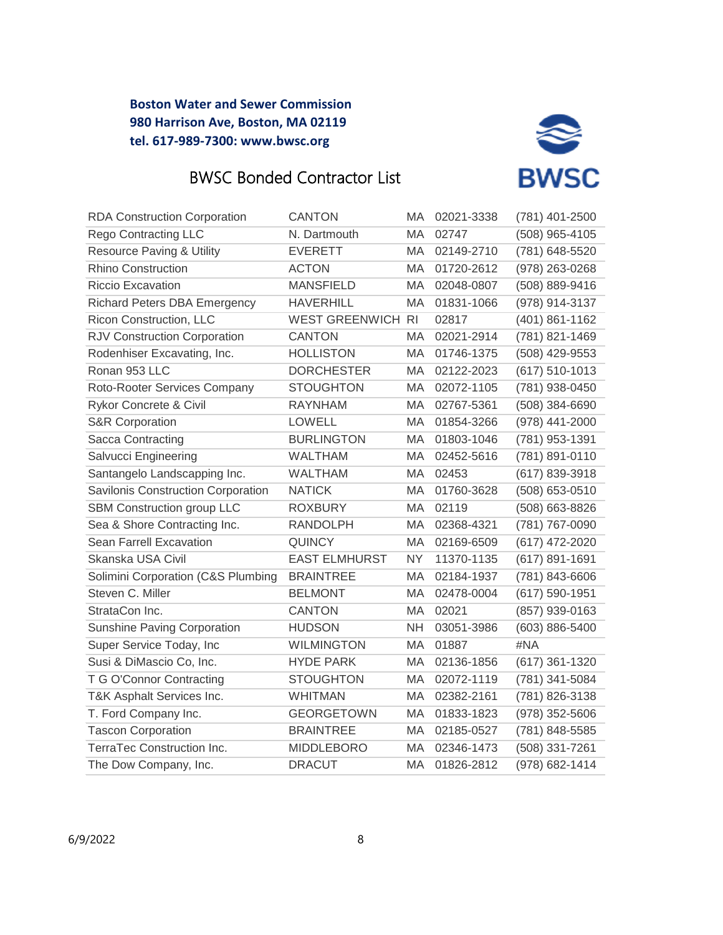



| <b>RDA Construction Corporation</b>  | <b>CANTON</b>            | MA        | 02021-3338 | (781) 401-2500     |
|--------------------------------------|--------------------------|-----------|------------|--------------------|
| <b>Rego Contracting LLC</b>          | N. Dartmouth             | МA        | 02747      | (508) 965-4105     |
| <b>Resource Paving &amp; Utility</b> | <b>EVERETT</b>           | MA        | 02149-2710 | (781) 648-5520     |
| <b>Rhino Construction</b>            | <b>ACTON</b>             | MA        | 01720-2612 | (978) 263-0268     |
| <b>Riccio Excavation</b>             | <b>MANSFIELD</b>         | МA        | 02048-0807 | (508) 889-9416     |
| <b>Richard Peters DBA Emergency</b>  | <b>HAVERHILL</b>         | MA        | 01831-1066 | (978) 914-3137     |
| Ricon Construction, LLC              | <b>WEST GREENWICH RI</b> |           | 02817      | (401) 861-1162     |
| RJV Construction Corporation         | <b>CANTON</b>            | MA        | 02021-2914 | (781) 821-1469     |
| Rodenhiser Excavating, Inc.          | <b>HOLLISTON</b>         | MA        | 01746-1375 | (508) 429-9553     |
| Ronan 953 LLC                        | <b>DORCHESTER</b>        | MA        | 02122-2023 | $(617) 510 - 1013$ |
| Roto-Rooter Services Company         | <b>STOUGHTON</b>         | МA        | 02072-1105 | (781) 938-0450     |
| Rykor Concrete & Civil               | <b>RAYNHAM</b>           | МA        | 02767-5361 | (508) 384-6690     |
| <b>S&amp;R Corporation</b>           | <b>LOWELL</b>            | МA        | 01854-3266 | (978) 441-2000     |
| Sacca Contracting                    | <b>BURLINGTON</b>        | MA        | 01803-1046 | (781) 953-1391     |
| Salvucci Engineering                 | <b>WALTHAM</b>           | MA        | 02452-5616 | (781) 891-0110     |
| Santangelo Landscapping Inc.         | <b>WALTHAM</b>           | МA        | 02453      | (617) 839-3918     |
| Savilonis Construction Corporation   | <b>NATICK</b>            | MA        | 01760-3628 | (508) 653-0510     |
| SBM Construction group LLC           | <b>ROXBURY</b>           | MA        | 02119      | (508) 663-8826     |
| Sea & Shore Contracting Inc.         | <b>RANDOLPH</b>          | MA        | 02368-4321 | (781) 767-0090     |
| Sean Farrell Excavation              | <b>QUINCY</b>            | MA        | 02169-6509 | (617) 472-2020     |
| Skanska USA Civil                    | <b>EAST ELMHURST</b>     | <b>NY</b> | 11370-1135 | $(617) 891 - 1691$ |
| Solimini Corporation (C&S Plumbing   | <b>BRAINTREE</b>         | МA        | 02184-1937 | (781) 843-6606     |
| Steven C. Miller                     | <b>BELMONT</b>           | MA        | 02478-0004 | (617) 590-1951     |
| StrataCon Inc.                       | <b>CANTON</b>            | MA.       | 02021      | (857) 939-0163     |
| <b>Sunshine Paving Corporation</b>   | <b>HUDSON</b>            | <b>NH</b> | 03051-3986 | (603) 886-5400     |
| Super Service Today, Inc             | <b>WILMINGTON</b>        | МA        | 01887      | #NA                |
| Susi & DiMascio Co, Inc.             | <b>HYDE PARK</b>         | МA        | 02136-1856 | $(617)$ 361-1320   |
| T G O'Connor Contracting             | <b>STOUGHTON</b>         | МA        | 02072-1119 | (781) 341-5084     |
| T&K Asphalt Services Inc.            | <b>WHITMAN</b>           | MA        | 02382-2161 | (781) 826-3138     |
| T. Ford Company Inc.                 | <b>GEORGETOWN</b>        | MA        | 01833-1823 | $(978)$ 352-5606   |
| <b>Tascon Corporation</b>            | <b>BRAINTREE</b>         | MA.       | 02185-0527 | (781) 848-5585     |
| TerraTec Construction Inc.           | <b>MIDDLEBORO</b>        | MA        | 02346-1473 | (508) 331-7261     |
| The Dow Company, Inc.                | <b>DRACUT</b>            | MA.       | 01826-2812 | (978) 682-1414     |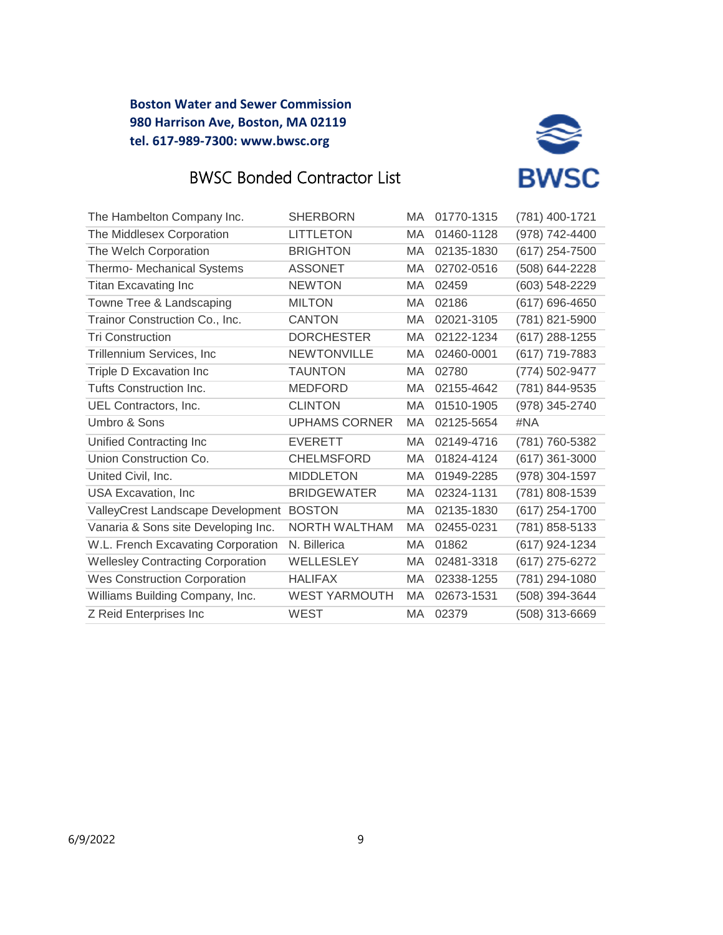

# BWSC Bonded Contractor List

| <b>LITTLETON</b><br>MA |                                                                                                                                                                                                                                                                                                                                                                                                     |                  |
|------------------------|-----------------------------------------------------------------------------------------------------------------------------------------------------------------------------------------------------------------------------------------------------------------------------------------------------------------------------------------------------------------------------------------------------|------------------|
|                        | 01460-1128                                                                                                                                                                                                                                                                                                                                                                                          | (978) 742-4400   |
| <b>BRIGHTON</b><br>MA  | 02135-1830                                                                                                                                                                                                                                                                                                                                                                                          | (617) 254-7500   |
| МA                     | 02702-0516                                                                                                                                                                                                                                                                                                                                                                                          | (508) 644-2228   |
| МA                     | 02459                                                                                                                                                                                                                                                                                                                                                                                               | (603) 548-2229   |
| MA                     | 02186                                                                                                                                                                                                                                                                                                                                                                                               | (617) 696-4650   |
| МA                     | 02021-3105                                                                                                                                                                                                                                                                                                                                                                                          | (781) 821-5900   |
| МA                     | 02122-1234                                                                                                                                                                                                                                                                                                                                                                                          | (617) 288-1255   |
| <b>MA</b>              | 02460-0001                                                                                                                                                                                                                                                                                                                                                                                          | (617) 719-7883   |
| MA.                    | 02780                                                                                                                                                                                                                                                                                                                                                                                               | (774) 502-9477   |
| MA                     | 02155-4642                                                                                                                                                                                                                                                                                                                                                                                          | (781) 844-9535   |
| МA                     | 01510-1905                                                                                                                                                                                                                                                                                                                                                                                          | (978) 345-2740   |
| <b>MA</b>              | 02125-5654                                                                                                                                                                                                                                                                                                                                                                                          | #NA              |
| <b>MA</b>              | 02149-4716                                                                                                                                                                                                                                                                                                                                                                                          | (781) 760-5382   |
| MA                     | 01824-4124                                                                                                                                                                                                                                                                                                                                                                                          | $(617)$ 361-3000 |
| MA                     | 01949-2285                                                                                                                                                                                                                                                                                                                                                                                          | (978) 304-1597   |
| MA.                    | 02324-1131                                                                                                                                                                                                                                                                                                                                                                                          | (781) 808-1539   |
| МA                     | 02135-1830                                                                                                                                                                                                                                                                                                                                                                                          | (617) 254-1700   |
| MA                     | 02455-0231                                                                                                                                                                                                                                                                                                                                                                                          | (781) 858-5133   |
| MA                     | 01862                                                                                                                                                                                                                                                                                                                                                                                               | (617) 924-1234   |
| MA                     | 02481-3318                                                                                                                                                                                                                                                                                                                                                                                          | (617) 275-6272   |
| МA                     | 02338-1255                                                                                                                                                                                                                                                                                                                                                                                          | (781) 294-1080   |
| MA.                    | 02673-1531                                                                                                                                                                                                                                                                                                                                                                                          | (508) 394-3644   |
|                        | 02379                                                                                                                                                                                                                                                                                                                                                                                               | (508) 313-6669   |
|                        | <b>ASSONET</b><br><b>NEWTON</b><br><b>MILTON</b><br><b>CANTON</b><br><b>DORCHESTER</b><br><b>NEWTONVILLE</b><br><b>TAUNTON</b><br><b>MEDFORD</b><br><b>CLINTON</b><br><b>UPHAMS CORNER</b><br><b>EVERETT</b><br><b>CHELMSFORD</b><br><b>MIDDLETON</b><br><b>BRIDGEWATER</b><br><b>BOSTON</b><br>NORTH WALTHAM<br>N. Billerica<br>WELLESLEY<br><b>HALIFAX</b><br><b>WEST YARMOUTH</b><br><b>WEST</b> | MA               |